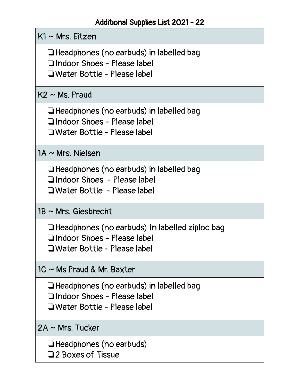## Additional Supplies List 2021 - 22

| $K1 \sim$ Mrs. Eitzen                                                                                                             |
|-----------------------------------------------------------------------------------------------------------------------------------|
| $\Box$ Headphones (no earbuds) in labelled bag<br>$\Box$ Indoor Shoes - Please label<br>$\Box$ Water Bottle - Please label        |
| $K2 \sim MS$ . Praud                                                                                                              |
| $\Box$ Headphones (no earbuds) in labelled bag<br>$\Box$ Indoor Shoes - Please label<br>$\Box$ Water Bottle - Please label        |
| $1A \sim Mrs$ . Nielsen                                                                                                           |
| $\Box$ Headphones (no earbuds) in labelled bag<br>□ Indoor Shoes - Please label<br>$\Box$ Water Bottle - Please label             |
| $1B \sim Mrs$ . Giesbrecht                                                                                                        |
| $\Box$ Headphones (no earbuds) In labelled ziploc bag<br>$\Box$ Indoor Shoes - Please label<br>$\Box$ Water Bottle - Please label |
| 1C ~ Ms Praud & Mr. Baxter                                                                                                        |
| Headphones (no earbuds) in labelled bag<br>$\Box$ Indoor Shoes - Please label<br>$\Box$ Water Bottle - Please label               |
| $2A \sim Mrs.$ Tucker                                                                                                             |
| $\Box$ Headphones (no earbuds)<br>□2 Boxes of Tissue                                                                              |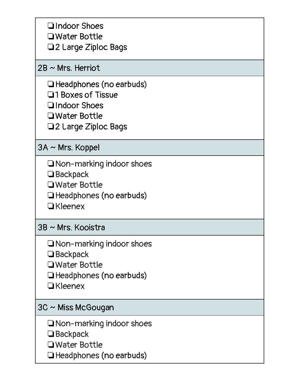| $\Box$ Indoor Shoes<br>$\Box$ Water Bottle<br>$\Box$ 2 Large Ziploc Bags                                                               |  |
|----------------------------------------------------------------------------------------------------------------------------------------|--|
| $2B \sim Mrs.$ Herriot                                                                                                                 |  |
| $\Box$ Headphones (no earbuds)<br>$\Box$ 1 Boxes of Tissue<br>$\Box$ Indoor Shoes<br>$\Box$ Water Bottle<br>$\Box$ 2 Large Ziploc Bags |  |
| $3A \sim Mrs$ . Koppel                                                                                                                 |  |
| $\Box$ Non-marking indoor shoes<br>$\Box$ Backpack<br>$\Box$ Water Bottle<br>$\Box$ Headphones (no earbuds)<br>$\Box$ Kleenex          |  |
| 3B ~ Mrs. Kooistra                                                                                                                     |  |
| $\square$ Non-marking indoor shoes<br>$\Box$ Backpack<br>$\Box$ Water Bottle<br>$\Box$ Headphones (no earbuds)<br>$\Box$ Kleenex       |  |
| 3C ~ Miss McGougan                                                                                                                     |  |
| $\Box$ Non-marking indoor shoes<br>$\Box$ Backpack<br>$\Box$ Water Bottle<br>$\Box$ Headphones (no earbuds)                            |  |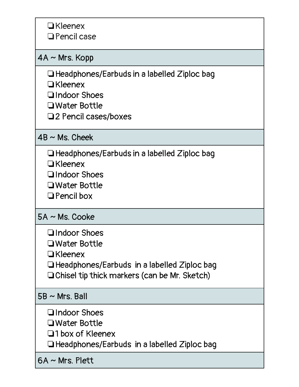| $\Box$ Kleenex<br>$\Box$ Pencil case                                                                                                                                      |
|---------------------------------------------------------------------------------------------------------------------------------------------------------------------------|
| $4A \sim Mrs$ . Kopp                                                                                                                                                      |
| $\Box$ Headphones/Earbuds in a labelled Ziploc bag<br>$\Box$ Kleenex<br>$\Box$ Indoor Shoes<br>$\Box$ Water Bottle<br>$\Box$ 2 Pencil cases/boxes                         |
| $4B \sim Ms$ . Cheek                                                                                                                                                      |
| $\Box$ Headphones/Earbuds in a labelled Ziploc bag<br>$\Box$ Kleenex<br>Indoor Shoes<br>$\Box$ Water Bottle<br>$\Box$ Pencil box                                          |
| $5A \sim Ms$ . Cooke                                                                                                                                                      |
| $\Box$ Indoor Shoes<br>$\Box$ Water Bottle<br>$\Box$ Kleenex<br>$\Box$ Headphones/Earbuds in a labelled Ziploc bag<br>$\Box$ Chisel tip thick markers (can be Mr. Sketch) |
| $5B \sim Mrs$ . Ball                                                                                                                                                      |
| $\Box$ Indoor Shoes<br>$\Box$ Water Bottle<br>$\square$ 1 box of Kleenex<br>$\Box$ Headphones/Earbuds in a labelled Ziploc bag                                            |
| $6A \sim Mrs.$ Plett                                                                                                                                                      |